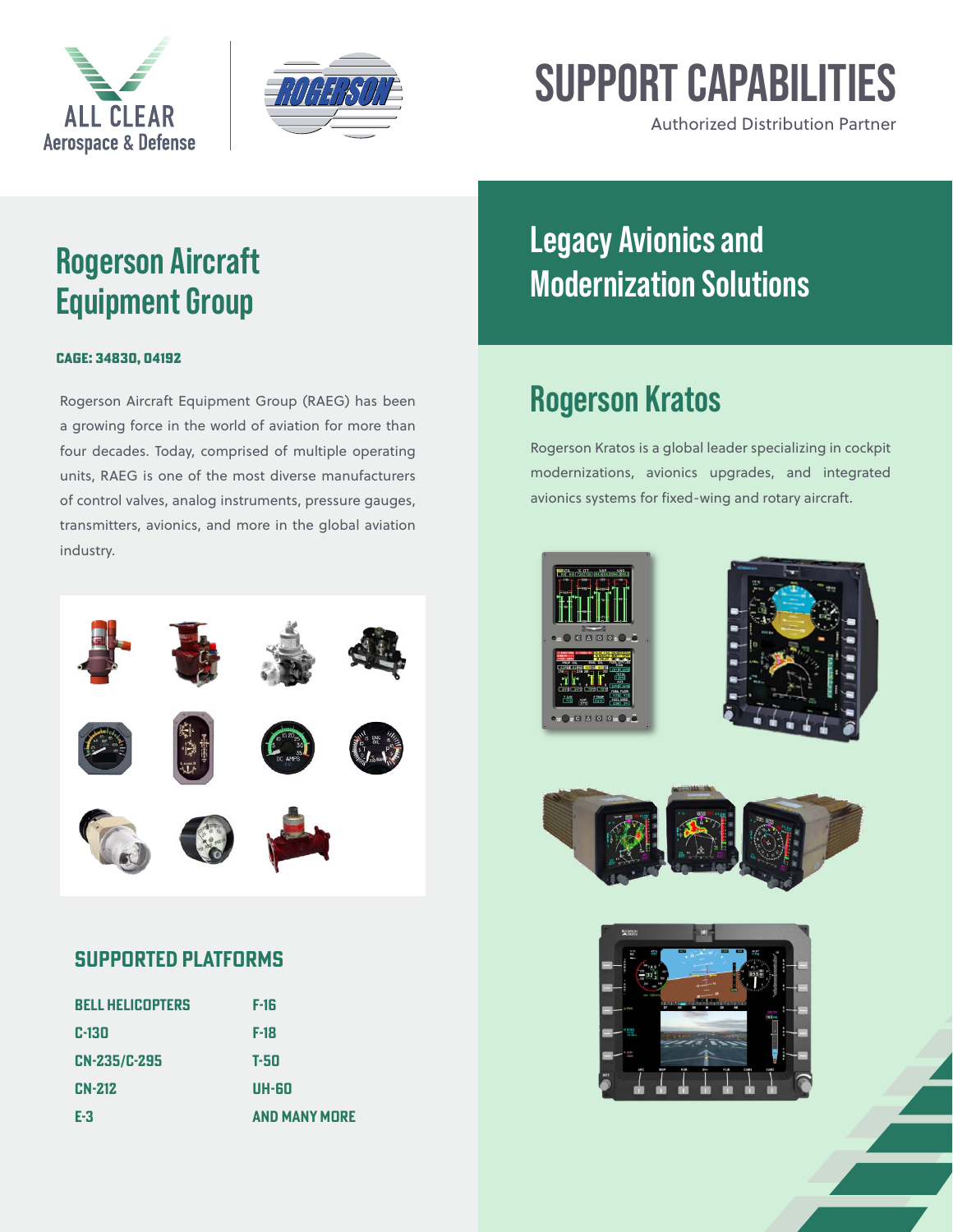



# **SUPPORT CAPABILITIES**

Authorized Distribution Partner

### **Rogerson Aircraft Equipment Group**

#### CAGE: 34830, 04192

Rogerson Aircraft Equipment Group (RAEG) has been a growing force in the world of aviation for more than four decades. Today, comprised of multiple operating units, RAEG is one of the most diverse manufacturers of control valves, analog instruments, pressure gauges, transmitters, avionics, and more in the global aviation industry.



### **Supported platforms**

| <b>BELL HELICOPTERS</b> | F-16                 |
|-------------------------|----------------------|
| C-130                   | $F-18$               |
| <b>CN-235/C-295</b>     | T-50                 |
| <b>CN-212</b>           | UH-60                |
| E-3                     | <b>AND MANY MORE</b> |

## **Legacy Avionics and Modernization Solutions**

### **Rogerson Kratos**

Rogerson Kratos is a global leader specializing in cockpit modernizations, avionics upgrades, and integrated avionics systems for fixed-wing and rotary aircraft.